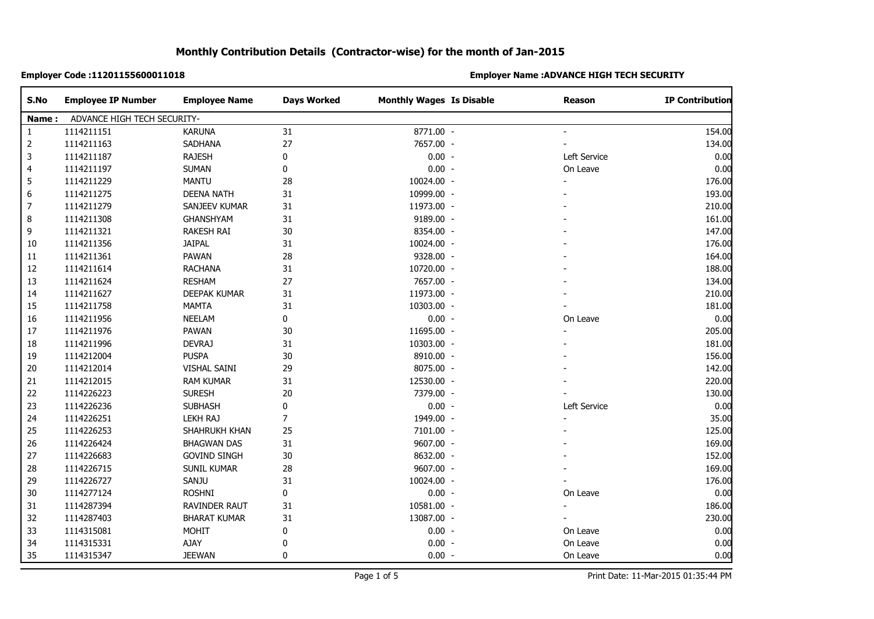| S.No         | <b>Employee IP Number</b>   | <b>Employee Name</b> | <b>Days Worked</b> | <b>Monthly Wages Is Disable</b> | <b>Reason</b> | <b>IP Contribution</b> |  |  |
|--------------|-----------------------------|----------------------|--------------------|---------------------------------|---------------|------------------------|--|--|
| Name:        | ADVANCE HIGH TECH SECURITY- |                      |                    |                                 |               |                        |  |  |
| $\mathbf{1}$ | 1114211151                  | <b>KARUNA</b>        | 31                 | 8771.00 -                       |               | 154.00                 |  |  |
| 2            | 1114211163                  | SADHANA              | 27                 | 7657.00 -                       |               | 134.00                 |  |  |
| 3            | 1114211187                  | <b>RAJESH</b>        | 0                  | $0.00 -$                        | Left Service  | 0.00                   |  |  |
| 4            | 1114211197                  | <b>SUMAN</b>         | 0                  | $0.00 -$                        | On Leave      | 0.00                   |  |  |
| 5            | 1114211229                  | <b>MANTU</b>         | 28                 | 10024.00 -                      |               | 176.00                 |  |  |
| 6            | 1114211275                  | <b>DEENA NATH</b>    | 31                 | 10999.00 -                      |               | 193.00                 |  |  |
| 7            | 1114211279                  | SANJEEV KUMAR        | 31                 | 11973.00 -                      |               | 210.00                 |  |  |
| 8            | 1114211308                  | GHANSHYAM            | 31                 | 9189.00 -                       |               | 161.00                 |  |  |
| 9            | 1114211321                  | <b>RAKESH RAI</b>    | 30                 | 8354.00 -                       |               | 147.00                 |  |  |
| 10           | 1114211356                  | <b>JAIPAL</b>        | 31                 | 10024.00 -                      |               | 176.00                 |  |  |
| 11           | 1114211361                  | PAWAN                | 28                 | 9328.00 -                       |               | 164.00                 |  |  |
| 12           | 1114211614                  | <b>RACHANA</b>       | 31                 | 10720.00 -                      |               | 188.00                 |  |  |
| 13           | 1114211624                  | RESHAM               | 27                 | 7657.00 -                       |               | 134.00                 |  |  |
| 14           | 1114211627                  | DEEPAK KUMAR         | 31                 | 11973.00 -                      |               | 210.00                 |  |  |
| 15           | 1114211758                  | <b>MAMTA</b>         | 31                 | 10303.00 -                      |               | 181.00                 |  |  |
| 16           | 1114211956                  | <b>NEELAM</b>        | 0                  | $0.00 -$                        | On Leave      | 0.00                   |  |  |
| 17           | 1114211976                  | PAWAN                | 30                 | 11695.00 -                      |               | 205.00                 |  |  |
| 18           | 1114211996                  | <b>DEVRAJ</b>        | 31                 | 10303.00 -                      |               | 181.00                 |  |  |
| 19           | 1114212004                  | PUSPA                | $30\,$             | 8910.00 -                       |               | 156.00                 |  |  |
| 20           | 1114212014                  | VISHAL SAINI         | 29                 | 8075.00 -                       |               | 142.00                 |  |  |
| 21           | 1114212015                  | <b>RAM KUMAR</b>     | 31                 | 12530.00 -                      |               | 220.00                 |  |  |
| 22           | 1114226223                  | <b>SURESH</b>        | 20                 | 7379.00 -                       |               | 130.00                 |  |  |
| 23           | 1114226236                  | <b>SUBHASH</b>       | $\pmb{0}$          | $0.00 -$                        | Left Service  | 0.00                   |  |  |
| 24           | 1114226251                  | <b>LEKH RAJ</b>      | $\overline{7}$     | 1949.00 -                       |               | 35.00                  |  |  |
| 25           | 1114226253                  | SHAHRUKH KHAN        | 25                 | 7101.00 -                       |               | 125.00                 |  |  |
| 26           | 1114226424                  | <b>BHAGWAN DAS</b>   | 31                 | 9607.00 -                       |               | 169.00                 |  |  |
| 27           | 1114226683                  | <b>GOVIND SINGH</b>  | 30                 | 8632.00 -                       |               | 152.00                 |  |  |
| 28           | 1114226715                  | SUNIL KUMAR          | 28                 | 9607.00 -                       |               | 169.00                 |  |  |
| 29           | 1114226727                  | SANJU                | 31                 | 10024.00 -                      |               | 176.00                 |  |  |
| 30           | 1114277124                  | <b>ROSHNI</b>        | 0                  | $0.00 -$                        | On Leave      | 0.00                   |  |  |
| 31           | 1114287394                  | <b>RAVINDER RAUT</b> | 31                 | 10581.00 -                      |               | 186.00                 |  |  |
| 32           | 1114287403                  | <b>BHARAT KUMAR</b>  | 31                 | 13087.00 -                      |               | 230.00                 |  |  |
| 33           | 1114315081                  | <b>MOHIT</b>         | 0                  | $0.00 -$                        | On Leave      | 0.00                   |  |  |
| 34           | 1114315331                  | AJAY                 | $\pmb{0}$          | $0.00 -$                        | On Leave      | 0.00                   |  |  |
| 35           | 1114315347                  | <b>JEEWAN</b>        | 0                  | $0.00 -$                        | On Leave      | 0.00                   |  |  |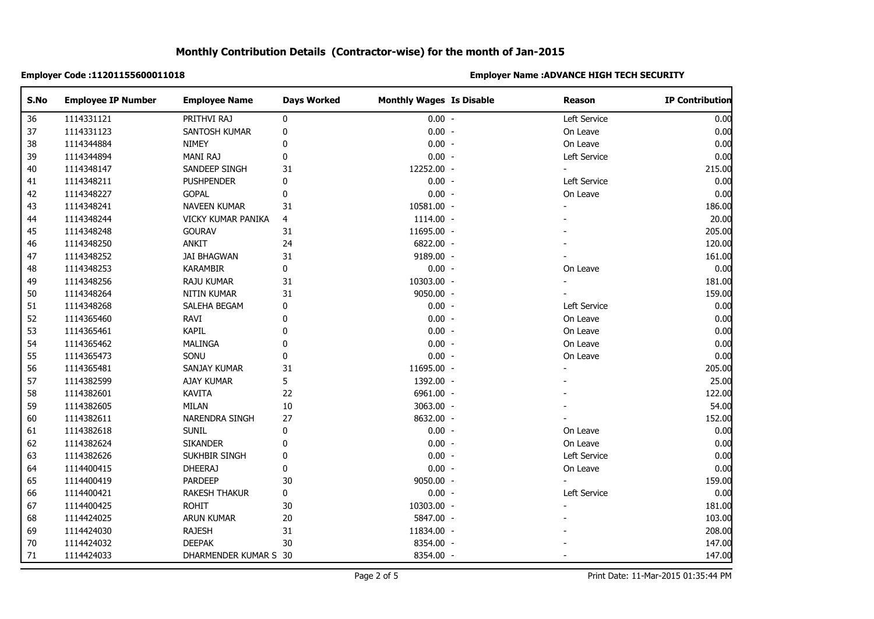| S.No   | <b>Employee IP Number</b> | <b>Employee Name</b>  | <b>Days Worked</b> | <b>Monthly Wages Is Disable</b> | Reason       | <b>IP Contribution</b> |
|--------|---------------------------|-----------------------|--------------------|---------------------------------|--------------|------------------------|
| 36     | 1114331121                | PRITHVI RAJ           | 0                  | $0.00 -$                        | Left Service | 0.00                   |
| 37     | 1114331123                | SANTOSH KUMAR         | 0                  | $0.00 -$                        | On Leave     | 0.00                   |
| 38     | 1114344884                | <b>NIMEY</b>          | $\pmb{0}$          | $0.00 -$                        | On Leave     | 0.00                   |
| 39     | 1114344894                | MANI RAJ              | $\pmb{0}$          | $0.00 -$                        | Left Service | 0.00                   |
| 40     | 1114348147                | SANDEEP SINGH         | 31                 | 12252.00 -                      |              | 215.00                 |
| 41     | 1114348211                | <b>PUSHPENDER</b>     | 0                  | $0.00 -$                        | Left Service | 0.00                   |
| 42     | 1114348227                | GOPAL                 | 0                  | $0.00 -$                        | On Leave     | 0.00                   |
| 43     | 1114348241                | NAVEEN KUMAR          | 31                 | 10581.00 -                      |              | 186.00                 |
| 44     | 1114348244                | VICKY KUMAR PANIKA    | 4                  | 1114.00 -                       |              | 20.00                  |
| 45     | 1114348248                | <b>GOURAV</b>         | 31                 | 11695.00 -                      |              | 205.00                 |
| 46     | 1114348250                | ANKIT                 | 24                 | 6822.00 -                       |              | 120.00                 |
| 47     | 1114348252                | <b>JAI BHAGWAN</b>    | 31                 | 9189.00 -                       |              | 161.00                 |
| 48     | 1114348253                | <b>KARAMBIR</b>       | $\pmb{0}$          | $0.00 -$                        | On Leave     | 0.00                   |
| 49     | 1114348256                | <b>RAJU KUMAR</b>     | 31                 | 10303.00 -                      |              | 181.00                 |
| 50     | 1114348264                | NITIN KUMAR           | 31                 | 9050.00 -                       |              | 159.00                 |
| 51     | 1114348268                | SALEHA BEGAM          | 0                  | $0.00 -$                        | Left Service | 0.00                   |
| 52     | 1114365460                | RAVI                  | 0                  | $0.00 -$                        | On Leave     | 0.00                   |
| 53     | 1114365461                | <b>KAPIL</b>          | 0                  | $0.00 -$                        | On Leave     | 0.00                   |
| 54     | 1114365462                | MALINGA               | $\mathbf 0$        | $0.00 -$                        | On Leave     | 0.00                   |
| 55     | 1114365473                | SONU                  | 0                  | $0.00 -$                        | On Leave     | 0.00                   |
| 56     | 1114365481                | SANJAY KUMAR          | 31                 | 11695.00 -                      |              | 205.00                 |
| 57     | 1114382599                | AJAY KUMAR            | 5                  | 1392.00 -                       |              | 25.00                  |
| 58     | 1114382601                | <b>KAVITA</b>         | 22                 | 6961.00 -                       |              | 122.00                 |
| 59     | 1114382605                | <b>MILAN</b>          | $10\,$             | 3063.00 -                       |              | 54.00                  |
| 60     | 1114382611                | NARENDRA SINGH        | 27                 | 8632.00 -                       |              | 152.00                 |
| 61     | 1114382618                | <b>SUNIL</b>          | 0                  | $0.00 -$                        | On Leave     | 0.00                   |
| 62     | 1114382624                | <b>SIKANDER</b>       | $\mathbf 0$        | $0.00 -$                        | On Leave     | 0.00                   |
| 63     | 1114382626                | SUKHBIR SINGH         | $\mathbf 0$        | $0.00 -$                        | Left Service | 0.00                   |
| 64     | 1114400415                | <b>DHEERAJ</b>        | 0                  | $0.00 -$                        | On Leave     | 0.00                   |
| 65     | 1114400419                | PARDEEP               | 30                 | 9050.00 -                       |              | 159.00                 |
| 66     | 1114400421                | <b>RAKESH THAKUR</b>  | 0                  | $0.00 -$                        | Left Service | 0.00                   |
| 67     | 1114400425                | <b>ROHIT</b>          | $30\,$             | 10303.00 -                      |              | 181.00                 |
| 68     | 1114424025                | <b>ARUN KUMAR</b>     | $20\,$             | 5847.00 -                       |              | 103.00                 |
| 69     | 1114424030                | <b>RAJESH</b>         | 31                 | 11834.00 -                      |              | 208.00                 |
| 70     | 1114424032                | <b>DEEPAK</b>         | 30                 | 8354.00 -                       |              | 147.00                 |
| $71\,$ | 1114424033                | DHARMENDER KUMAR S 30 |                    | 8354.00 -                       |              | 147.00                 |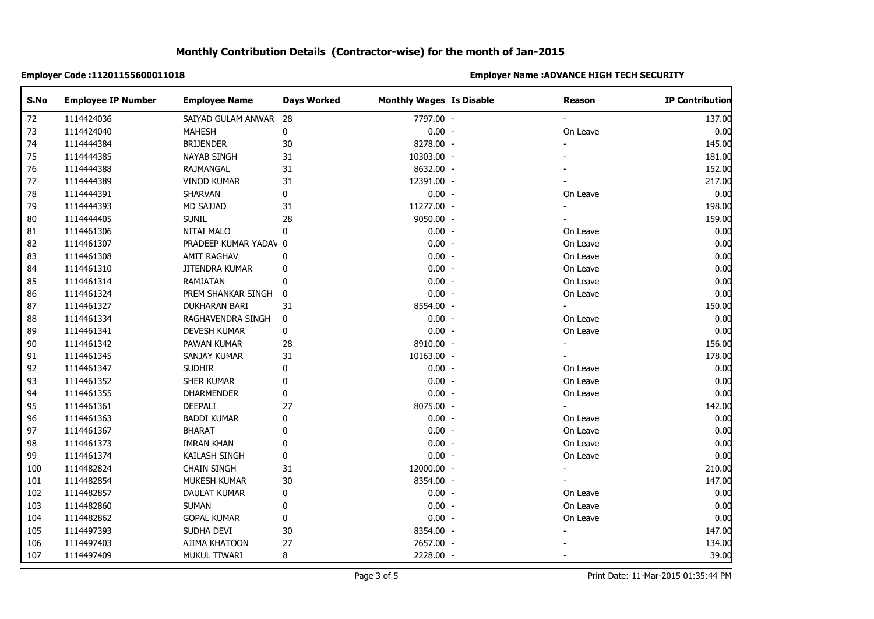| S.No | <b>Employee IP Number</b> | <b>Employee Name</b>  | <b>Days Worked</b> | <b>Monthly Wages Is Disable</b> | Reason   | <b>IP Contribution</b> |
|------|---------------------------|-----------------------|--------------------|---------------------------------|----------|------------------------|
| 72   | 1114424036                | SAIYAD GULAM ANWAR    | 28                 | 7797.00 -                       |          | 137.00                 |
| 73   | 1114424040                | <b>MAHESH</b>         | $\pmb{0}$          | $0.00 -$                        | On Leave | 0.00                   |
| 74   | 1114444384                | <b>BRIJENDER</b>      | 30                 | 8278.00 -                       |          | 145.00                 |
| 75   | 1114444385                | <b>NAYAB SINGH</b>    | 31                 | 10303.00 -                      |          | 181.00                 |
| 76   | 1114444388                | RAJMANGAL             | 31                 | 8632.00 -                       |          | 152.00                 |
| $77$ | 1114444389                | <b>VINOD KUMAR</b>    | 31                 | 12391.00 -                      |          | 217.00                 |
| 78   | 1114444391                | SHARVAN               | 0                  | $0.00 -$                        | On Leave | 0.00                   |
| 79   | 1114444393                | <b>MD SAJJAD</b>      | 31                 | 11277.00 -                      |          | 198.00                 |
| 80   | 1114444405                | <b>SUNIL</b>          | 28                 | 9050.00 -                       |          | 159.00                 |
| 81   | 1114461306                | NITAI MALO            | 0                  | $0.00 -$                        | On Leave | 0.00                   |
| 82   | 1114461307                | PRADEEP KUMAR YADAV 0 |                    | $0.00 -$                        | On Leave | 0.00                   |
| 83   | 1114461308                | AMIT RAGHAV           | 0                  | $0.00 -$                        | On Leave | 0.00                   |
| 84   | 1114461310                | JITENDRA KUMAR        | 0                  | $0.00 -$                        | On Leave | 0.00                   |
| 85   | 1114461314                | RAMJATAN              | 0                  | $0.00 -$                        | On Leave | 0.00                   |
| 86   | 1114461324                | PREM SHANKAR SINGH    | 0                  | $0.00 -$                        | On Leave | 0.00                   |
| 87   | 1114461327                | DUKHARAN BARI         | 31                 | 8554.00 -                       |          | 150.00                 |
| 88   | 1114461334                | RAGHAVENDRA SINGH     | 0                  | $0.00 -$                        | On Leave | 0.00                   |
| 89   | 1114461341                | DEVESH KUMAR          | 0                  | $0.00 -$                        | On Leave | 0.00                   |
| 90   | 1114461342                | PAWAN KUMAR           | 28                 | 8910.00 -                       |          | 156.00                 |
| 91   | 1114461345                | SANJAY KUMAR          | 31                 | 10163.00 -                      |          | 178.00                 |
| 92   | 1114461347                | <b>SUDHIR</b>         | 0                  | $0.00 -$                        | On Leave | 0.00                   |
| 93   | 1114461352                | SHER KUMAR            | $\mathbf 0$        | $0.00 -$                        | On Leave | 0.00                   |
| 94   | 1114461355                | <b>DHARMENDER</b>     | $\pmb{0}$          | $0.00 -$                        | On Leave | 0.00                   |
| 95   | 1114461361                | DEEPALI               | 27                 | 8075.00 -                       |          | 142.00                 |
| 96   | 1114461363                | <b>BADDI KUMAR</b>    | 0                  | $0.00 -$                        | On Leave | 0.00                   |
| 97   | 1114461367                | <b>BHARAT</b>         | $\mathbf 0$        | $0.00 -$                        | On Leave | 0.00                   |
| 98   | 1114461373                | IMRAN KHAN            | 0                  | $0.00 -$                        | On Leave | 0.00                   |
| 99   | 1114461374                | KAILASH SINGH         | $\pmb{0}$          | $0.00 -$                        | On Leave | 0.00                   |
| 100  | 1114482824                | <b>CHAIN SINGH</b>    | 31                 | 12000.00 -                      |          | 210.00                 |
| 101  | 1114482854                | MUKESH KUMAR          | 30                 | 8354.00 -                       |          | 147.00                 |
| 102  | 1114482857                | DAULAT KUMAR          | 0                  | $0.00 -$                        | On Leave | 0.00                   |
| 103  | 1114482860                | <b>SUMAN</b>          | 0                  | $0.00 -$                        | On Leave | 0.00                   |
| 104  | 1114482862                | <b>GOPAL KUMAR</b>    | 0                  | $0.00 -$                        | On Leave | 0.00                   |
| 105  | 1114497393                | SUDHA DEVI            | 30                 | 8354.00 -                       |          | 147.00                 |
| 106  | 1114497403                | AJIMA KHATOON         | 27                 | 7657.00 -                       |          | 134.00                 |
| 107  | 1114497409                | MUKUL TIWARI          | 8                  | 2228.00 -                       |          | 39.00                  |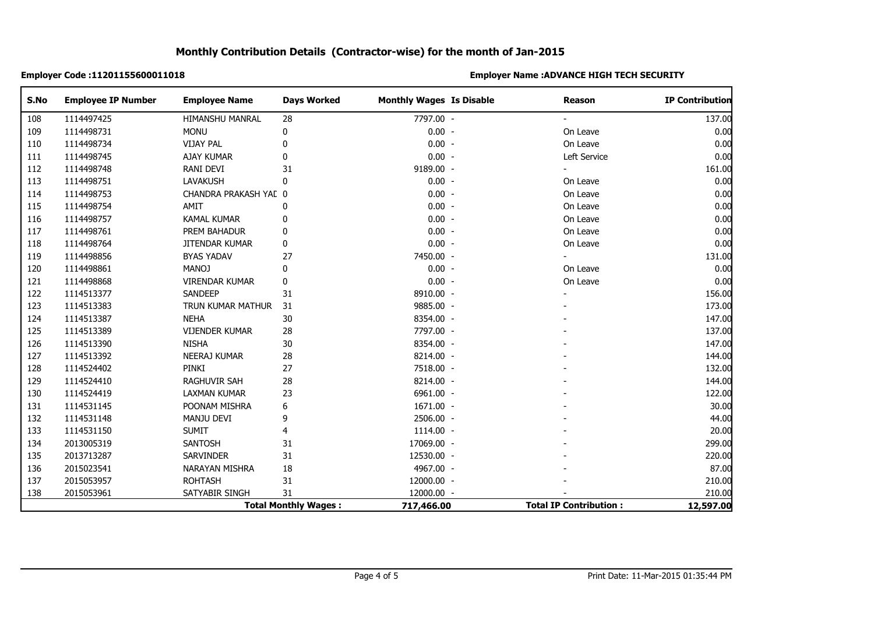| S.No                        | <b>Employee IP Number</b> | <b>Employee Name</b>   | <b>Days Worked</b> | <b>Monthly Wages Is Disable</b> | <b>Reason</b>                 | <b>IP Contribution</b> |
|-----------------------------|---------------------------|------------------------|--------------------|---------------------------------|-------------------------------|------------------------|
| 108                         | 1114497425                | <b>HIMANSHU MANRAL</b> | 28                 | 7797.00 -                       |                               | 137.00                 |
| 109                         | 1114498731                | <b>MONU</b>            | 0                  | $0.00 -$                        | On Leave                      | 0.00                   |
| 110                         | 1114498734                | <b>VIJAY PAL</b>       | 0                  | $0.00 -$                        | On Leave                      | 0.00                   |
| 111                         | 1114498745                | <b>AJAY KUMAR</b>      | 0                  | $0.00 -$                        | Left Service                  | 0.00                   |
| 112                         | 1114498748                | RANI DEVI              | 31                 | 9189.00 -                       |                               | 161.00                 |
| 113                         | 1114498751                | <b>LAVAKUSH</b>        | $\mathbf{0}$       | $0.00 -$                        | On Leave                      | 0.00                   |
| 114                         | 1114498753                | CHANDRA PRAKASH YAL 0  |                    | $0.00 -$                        | On Leave                      | 0.00                   |
| 115                         | 1114498754                | AMIT                   | 0                  | $0.00 -$                        | On Leave                      | 0.00                   |
| 116                         | 1114498757                | <b>KAMAL KUMAR</b>     | 0                  | $0.00 -$                        | On Leave                      | 0.00                   |
| 117                         | 1114498761                | PREM BAHADUR           | 0                  | $0.00 -$                        | On Leave                      | 0.00                   |
| 118                         | 1114498764                | <b>JITENDAR KUMAR</b>  | $\pmb{0}$          | $0.00 -$                        | On Leave                      | 0.00                   |
| 119                         | 1114498856                | <b>BYAS YADAV</b>      | 27                 | 7450.00 -                       |                               | 131.00                 |
| 120                         | 1114498861                | <b>MANOJ</b>           | $\pmb{0}$          | $0.00 -$                        | On Leave                      | 0.00                   |
| 121                         | 1114498868                | <b>VIRENDAR KUMAR</b>  | $\pmb{0}$          | $0.00 -$                        | On Leave                      | 0.00                   |
| 122                         | 1114513377                | SANDEEP                | 31                 | 8910.00 -                       |                               | 156.00                 |
| 123                         | 1114513383                | TRUN KUMAR MATHUR      | 31                 | 9885.00 -                       |                               | 173.00                 |
| 124                         | 1114513387                | <b>NEHA</b>            | 30                 | 8354.00 -                       |                               | 147.00                 |
| 125                         | 1114513389                | <b>VIJENDER KUMAR</b>  | 28                 | 7797.00 -                       |                               | 137.00                 |
| 126                         | 1114513390                | <b>NISHA</b>           | 30                 | 8354.00 -                       |                               | 147.00                 |
| 127                         | 1114513392                | <b>NEERAJ KUMAR</b>    | 28                 | 8214.00 -                       |                               | 144.00                 |
| 128                         | 1114524402                | PINKI                  | 27                 | 7518.00 -                       |                               | 132.00                 |
| 129                         | 1114524410                | <b>RAGHUVIR SAH</b>    | 28                 | 8214.00 -                       |                               | 144.00                 |
| 130                         | 1114524419                | <b>LAXMAN KUMAR</b>    | 23                 | 6961.00 -                       |                               | 122.00                 |
| 131                         | 1114531145                | POONAM MISHRA          | 6                  | 1671.00 -                       |                               | 30.00                  |
| 132                         | 1114531148                | MANJU DEVI             | 9                  | 2506.00 -                       |                               | 44.00                  |
| 133                         | 1114531150                | <b>SUMIT</b>           | 4                  | 1114.00 -                       |                               | 20.00                  |
| 134                         | 2013005319                | SANTOSH                | 31                 | 17069.00 -                      |                               | 299.00                 |
| 135                         | 2013713287                | <b>SARVINDER</b>       | 31                 | 12530.00 -                      |                               | 220.00                 |
| 136                         | 2015023541                | NARAYAN MISHRA         | 18                 | 4967.00 -                       |                               | 87.00                  |
| 137                         | 2015053957                | <b>ROHTASH</b>         | 31                 | 12000.00 -                      |                               | 210.00                 |
| 138                         | 2015053961                | SATYABIR SINGH         | 31                 | 12000.00 -                      |                               | 210.00                 |
| <b>Total Monthly Wages:</b> |                           |                        |                    | 717,466.00                      | <b>Total IP Contribution:</b> | 12,597.00              |